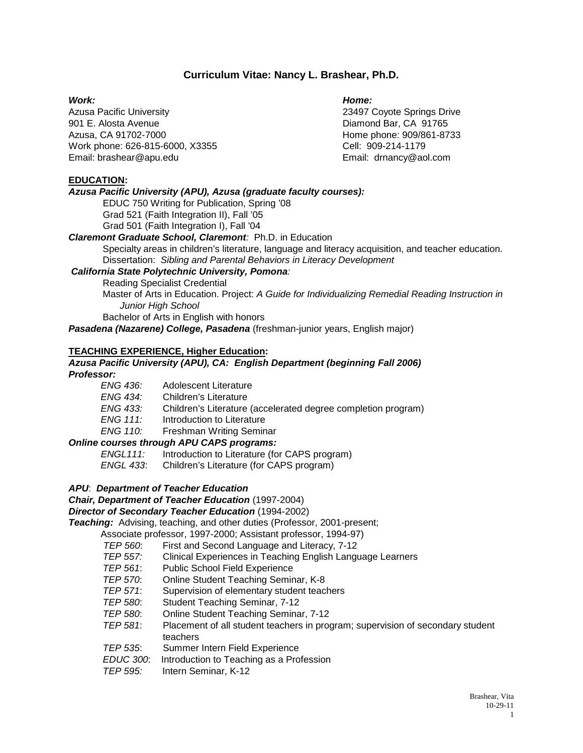## **Curriculum Vitae: Nancy L. Brashear, Ph.D.**

Azusa Pacific University 23497 Coyote Springs Drive 901 E. Alosta Avenue Diamond Bar, CA 91765 Azusa, CA 91702-7000 **https://www.fragata.org/** Home phone: 909/861-8733 Work phone: 626-815-6000, X3355 Cell: 909-214-1179 Email: brashear@apu.edu Email: drnancy@aol.com

#### *Work: Home:*

#### **EDUCATION:**

#### *Azusa Pacific University (APU), Azusa (graduate faculty courses):*

EDUC 750 Writing for Publication, Spring '08 Grad 521 (Faith Integration II), Fall '05 Grad 501 (Faith Integration I), Fall '04

#### *Claremont Graduate School, Claremont:* Ph.D. in Education

Specialty areas in children's literature, language and literacy acquisition, and teacher education. Dissertation: *Sibling and Parental Behaviors in Literacy Development*

#### *California State Polytechnic University, Pomona:*

Reading Specialist Credential

Master of Arts in Education. Project: *A Guide for Individualizing Remedial Reading Instruction in Junior High School*

Bachelor of Arts in English with honors

*Pasadena (Nazarene) College, Pasadena* (freshman-junior years, English major)

#### **TEACHING EXPERIENCE, Higher Education:**

# *Azusa Pacific University (APU), CA: English Department (beginning Fall 2006) Professor:*

*ENG 436:* Adolescent Literature *ENG 434:* Children's Literature **Children's Literature (accelerated degree completion program)** *ENG 111:* Introduction to Literature *ENG 110:* Freshman Writing Seminar

#### *Online courses through APU CAPS programs:* Introduction to Literature (for CAPS program)

*ENGL 433*: Children's Literature (for CAPS program)

#### *APU*: *Department of Teacher Education*

*Chair, Department of Teacher Education* (1997-2004)

#### *Director of Secondary Teacher Education* (1994-2002)

*Teaching:* Advising, teaching, and other duties (Professor, 2001-present;

Associate professor, 1997-2000; Assistant professor, 1994-97)

- *TEP 560*: First and Second Language and Literacy, 7-12
- **Clinical Experiences in Teaching English Language Learners**
- *TEP 561*: Public School Field Experience
- *TEP 570*: Online Student Teaching Seminar, K-8
- *TEP 571*: Supervision of elementary student teachers
- *TEP 580*: Student Teaching Seminar, 7-12
- *TEP 580*: Online Student Teaching Seminar, 7-12
- *TEP 581*: Placement of all student teachers in program; supervision of secondary student teachers
- *TEP 535*: Summer Intern Field Experience
- *EDUC 300*: Introduction to Teaching as a Profession
- *TEP 595:* Intern Seminar, K-12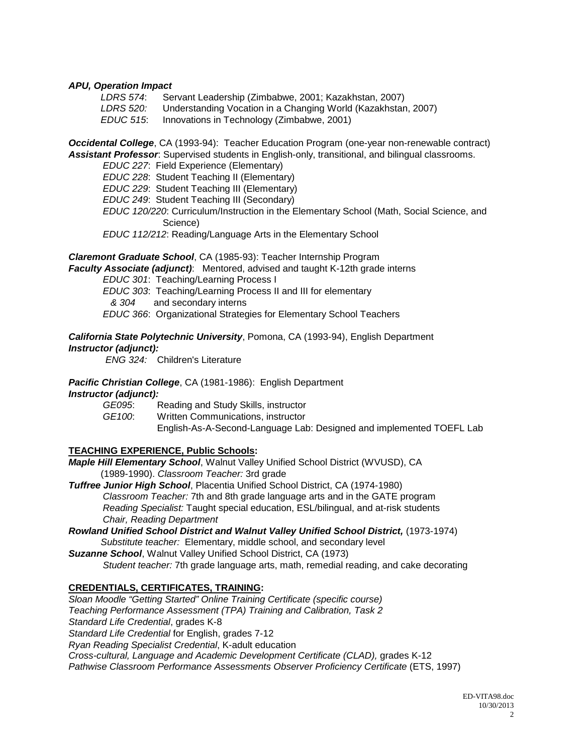#### *APU, Operation Impact*

| LDRS 574: | Servant Leadership (Zimbabwe, 2001; Kazakhstan, 2007)         |
|-----------|---------------------------------------------------------------|
| LDRS 520: | Understanding Vocation in a Changing World (Kazakhstan, 2007) |
| EDUC 515: | Innovations in Technology (Zimbabwe, 2001)                    |

*Occidental College*, CA (1993-94): Teacher Education Program (one-year non-renewable contract) *Assistant Professor*: Supervised students in English-only, transitional, and bilingual classrooms.

*EDUC 227*: Field Experience (Elementary) *EDUC 228*: Student Teaching II (Elementary) *EDUC 229*: Student Teaching III (Elementary) *EDUC 249*: Student Teaching III (Secondary) *EDUC 120/220*: Curriculum/Instruction in the Elementary School (Math, Social Science, and Science) *EDUC 112/212*: Reading/Language Arts in the Elementary School

*Claremont Graduate School*, CA (1985-93): Teacher Internship Program

*Faculty Associate (adjunct)*: Mentored, advised and taught K-12th grade interns

*EDUC 301*: Teaching/Learning Process I

*EDUC 303*: Teaching/Learning Process II and III for elementary

*& 304* and secondary interns

*EDUC 366*: Organizational Strategies for Elementary School Teachers

#### *California State Polytechnic University*, Pomona, CA (1993-94), English Department *Instructor (adjunct):*

*ENG 324:* Children's Literature

*Pacific Christian College*, CA (1981-1986): English Department

#### *Instructor (adjunct):*

*GE095*: Reading and Study Skills, instructor *GE100*: Written Communications, instructor English-As-A-Second-Language Lab: Designed and implemented TOEFL Lab

#### **TEACHING EXPERIENCE, Public Schools:**

*Maple Hill Elementary School*, Walnut Valley Unified School District (WVUSD), CA (1989-1990). *Classroom Teacher:* 3rd grade

*Tuffree Junior High School*, Placentia Unified School District, CA (1974-1980) *Classroom Teacher:* 7th and 8th grade language arts and in the GATE program *Reading Specialist:* Taught special education, ESL/bilingual, and at-risk students *Chair, Reading Department*

*Rowland Unified School District and Walnut Valley Unified School District,* (1973-1974) *Substitute teacher:* Elementary, middle school, and secondary level

*Suzanne School*, Walnut Valley Unified School District, CA (1973) *Student teacher:* 7th grade language arts, math, remedial reading, and cake decorating

#### **CREDENTIALS, CERTIFICATES, TRAINING:**

*Sloan Moodle "Getting Started" Online Training Certificate (specific course) Teaching Performance Assessment (TPA) Training and Calibration, Task 2 Standard Life Credential*, grades K-8 *Standard Life Credential* for English, grades 7-12 *Ryan Reading Specialist Credential*, K-adult education *Cross-cultural, Language and Academic Development Certificate (CLAD),* grades K-12 *Pathwise Classroom Performance Assessments Observer Proficiency Certificate* (ETS, 1997)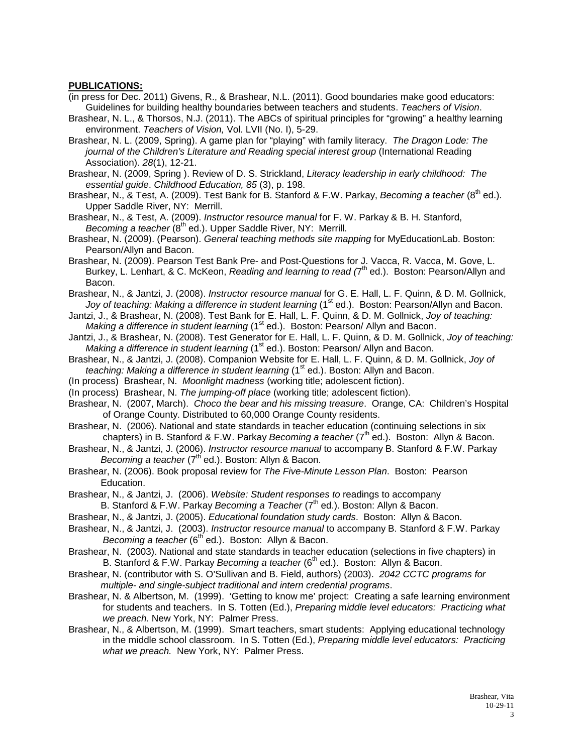#### **PUBLICATIONS:**

- (in press for Dec. 2011) Givens, R., & Brashear, N.L. (2011). Good boundaries make good educators: Guidelines for building healthy boundaries between teachers and students. *Teachers of Vision*.
- Brashear, N. L., & Thorsos, N.J. (2011). The ABCs of spiritual principles for "growing" a healthy learning environment. *Teachers of Vision,* Vol. LVII (No. I), 5-29.
- Brashear, N. L. (2009, Spring). A game plan for "playing" with family literacy. *The Dragon Lode: The journal of the Children's Literature and Reading special interest group* (International Reading Association). *28*(1), 12-21.
- Brashear, N. (2009, Spring ). Review of D. S. Strickland, *Literacy leadership in early childhood: The essential guide*. *Childhood Education, 85* (3), p. 198.
- Brashear, N., & Test, A. (2009). Test Bank for B. Stanford & F.W. Parkay, *Becoming a teacher* (8<sup>th</sup> ed.). Upper Saddle River, NY: Merrill.
- Brashear, N., & Test, A. (2009). *Instructor resource manual* for F. W. Parkay & B. H. Stanford, *Becoming a teacher* (8<sup>th</sup> ed.). Upper Saddle River, NY: Merrill.
- Brashear, N. (2009). (Pearson). *General teaching methods site mapping* for MyEducationLab. Boston: Pearson/Allyn and Bacon.
- Brashear, N. (2009). Pearson Test Bank Pre- and Post-Questions for J. Vacca, R. Vacca, M. Gove, L. Burkey, L. Lenhart, & C. McKeon, *Reading and learning to read (7<sup>th</sup> ed.).* Boston: Pearson/Allyn and Bacon.
- Brashear, N., & Jantzi, J. (2008). *Instructor resource manual* for G. E. Hall, L. F. Quinn, & D. M. Gollnick, *Joy of teaching: Making a difference in student learning* (1<sup>st</sup> ed.). Boston: Pearson/Allyn and Bacon.
- Jantzi, J., & Brashear, N. (2008). Test Bank for E. Hall, L. F. Quinn, & D. M. Gollnick, *Joy of teaching: Making a difference in student learning* (1<sup>st</sup> ed.). Boston: Pearson/ Allyn and Bacon.
- Jantzi, J., & Brashear, N. (2008). Test Generator for E. Hall, L. F. Quinn, & D. M. Gollnick, *Joy of teaching: Making a difference in student learning* (1<sup>st</sup> ed.). Boston: Pearson/ Allyn and Bacon.
- Brashear, N., & Jantzi, J. (2008). Companion Website for E. Hall, L. F. Quinn, & D. M. Gollnick, *Joy of teaching: Making a difference in student learning* (1<sup>st</sup> ed.). Boston: Allyn and Bacon.
- (In process) Brashear, N. *Moonlight madness* (working title; adolescent fiction).
- (In process) Brashear, N. *The jumping-off place* (working title; adolescent fiction).
- Brashear, N. (2007, March). *Choco the bear and his missing treasure*. Orange, CA: Children's Hospital of Orange County. Distributed to 60,000 Orange County residents.
- Brashear, N.(2006). National and state standards in teacher education (continuing selections in six chapters) in B. Stanford & F.W. Parkay *Becoming a teacher* (7<sup>th</sup> ed.). Boston: Allyn & Bacon.
- Brashear, N., & Jantzi, J. (2006). *Instructor resource manual* to accompany B. Stanford & F.W. Parkay *Becoming a teacher* (7<sup>th</sup> ed.). Boston: Allyn & Bacon.
- Brashear, N. (2006). Book proposal review for *The Five-Minute Lesson Plan*. Boston: Pearson Education.
- Brashear, N., & Jantzi, J. (2006). *Website: Student responses to* readings to accompany B. Stanford & F.W. Parkay *Becoming a Teacher* (7<sup>th</sup> ed.). Boston: Allyn & Bacon.
- Brashear, N., & Jantzi, J. (2005). *Educational foundation study cards*. Boston: Allyn & Bacon.
- Brashear, N., & Jantzi, J. (2003). *Instructor resource manual* to accompany B. Stanford & F.W. Parkay *Becoming a teacher* (6<sup>th</sup> ed.). Boston: Allyn & Bacon.
- Brashear, N.(2003). National and state standards in teacher education (selections in five chapters) in B. Stanford & F.W. Parkay *Becoming a teacher* (6<sup>th</sup> ed.). Boston: Allyn & Bacon.
- Brashear, N. (contributor with S. O'Sullivan and B. Field, authors) (2003). *2042 CCTC programs for multiple- and single-subject traditional and intern credential programs*.
- Brashear, N. & Albertson, M. (1999). 'Getting to know me' project: Creating a safe learning environment for students and teachers. In S. Totten (Ed.), *Preparing* m*iddle level educators: Practicing what we preach.* New York, NY: Palmer Press.
- Brashear, N., & Albertson, M. (1999). Smart teachers, smart students: Applying educational technology in the middle school classroom. In S. Totten (Ed.), *Preparing* m*iddle level educators: Practicing what we preach.* New York, NY: Palmer Press.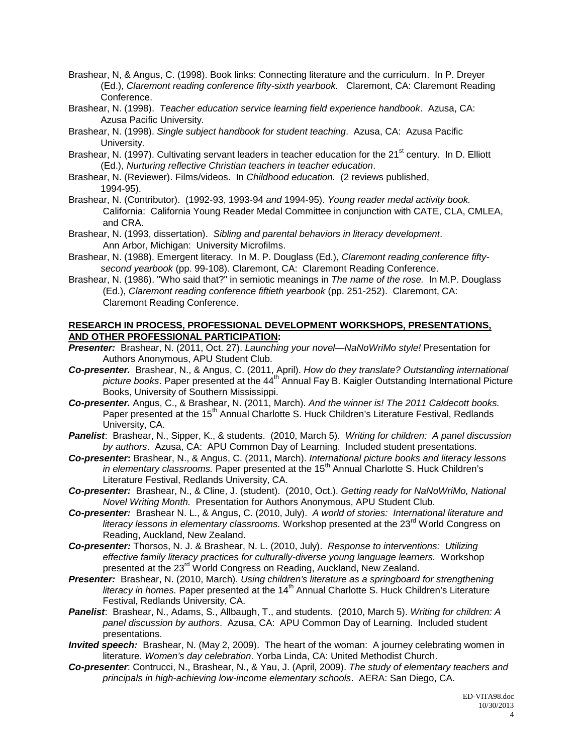- Brashear, N, & Angus, C. (1998). Book links: Connecting literature and the curriculum. In P. Dreyer (Ed.), *Claremont reading conference fifty-sixth yearbook.* Claremont, CA: Claremont Reading Conference.
- Brashear, N. (1998). *Teacher education service learning field experience handbook*. Azusa, CA: Azusa Pacific University.
- Brashear, N. (1998). *Single subject handbook for student teaching*. Azusa, CA: Azusa Pacific University.
- Brashear, N. (1997). Cultivating servant leaders in teacher education for the 21<sup>st</sup> century. In D. Elliott (Ed.), *Nurturing reflective Christian teachers in teacher education*.
- Brashear, N. (Reviewer). Films/videos. In *Childhood education.* (2 reviews published, 1994-95).
- Brashear, N. (Contributor). (1992-93, 1993-94 *and* 1994-95). *Young reader medal activity book.*  California: California Young Reader Medal Committee in conjunction with CATE, CLA, CMLEA, and CRA.
- Brashear, N. (1993, dissertation). *Sibling and parental behaviors in literacy development*. Ann Arbor, Michigan: University Microfilms.
- Brashear, N. (1988). Emergent literacy. In M. P. Douglass (Ed.), *Claremont reading conference fiftysecond yearbook* (pp. 99-108). Claremont, CA: Claremont Reading Conference.
- Brashear, N. (1986). "Who said that?" in semiotic meanings in *The name of the rose.* In M.P. Douglass (Ed.), *Claremont reading conference fiftieth yearbook* (pp. 251-252). Claremont, CA: Claremont Reading Conference.

#### **RESEARCH IN PROCESS, PROFESSIONAL DEVELOPMENT WORKSHOPS, PRESENTATIONS, AND OTHER PROFESSIONAL PARTICIPATION:**

- *Presenter:*Brashear, N. (2011, Oct. 27). *Launching your novel—NaNoWriMo style!* Presentation for Authors Anonymous, APU Student Club.
- *Co-presenter.* Brashear, N., & Angus, C. (2011, April). *How do they translate? Outstanding international*  picture books. Paper presented at the 44<sup>th</sup> Annual Fay B. Kaigler Outstanding International Picture Books, University of Southern Mississippi.
- *Co-presenter.* Angus, C., & Brashear, N. (2011, March). *And the winner is! The 2011 Caldecott books.* Paper presented at the 15<sup>th</sup> Annual Charlotte S. Huck Children's Literature Festival, Redlands University, CA.
- *Panelist*:Brashear, N., Sipper, K., & students. (2010, March 5). *Writing for children: A panel discussion by authors*. Azusa, CA: APU Common Day of Learning. Included student presentations.
- *Co-presenter***:** Brashear, N., & Angus, C. (2011, March). *International picture books and literacy lessons*  in elementary classrooms. Paper presented at the 15<sup>th</sup> Annual Charlotte S. Huck Children's Literature Festival, Redlands University, CA.
- *Co-presenter:*Brashear, N., & Cline, J. (student). (2010, Oct.). *Getting ready for NaNoWriMo, National Novel Writing Month.* Presentation for Authors Anonymous, APU Student Club.
- *Co-presenter:*Brashear N. L., & Angus, C. (2010, July). *A world of stories: International literature and literacy lessons in elementary classrooms.* Workshop presented at the 23<sup>rd</sup> World Congress on Reading, Auckland, New Zealand.
- *Co-presenter:* Thorsos, N. J. & Brashear, N. L. (2010, July).*Response to interventions: Utilizing effective family literacy practices for culturally-diverse young language learners.* Workshop presented at the 23<sup>rd</sup> World Congress on Reading, Auckland, New Zealand.
- *Presenter:*Brashear, N. (2010, March). *Using children's literature as a springboard for strengthening literacy in homes.* Paper presented at the 14<sup>th</sup> Annual Charlotte S. Huck Children's Literature Festival, Redlands University, CA.
- *Panelist*:Brashear, N., Adams, S., Allbaugh, T., and students. (2010, March 5). *Writing for children: A panel discussion by authors*. Azusa, CA: APU Common Day of Learning. Included student presentations.
- *Invited speech:* Brashear, N. (May 2, 2009). The heart of the woman: A journey celebrating women in literature. *Women's day celebration*. Yorba Linda, CA: United Methodist Church.
- *Co-presenter*: Contrucci, N., Brashear, N., & Yau, J. (April, 2009). *The study of elementary teachers and principals in high-achieving low-income elementary schools*. AERA: San Diego, CA.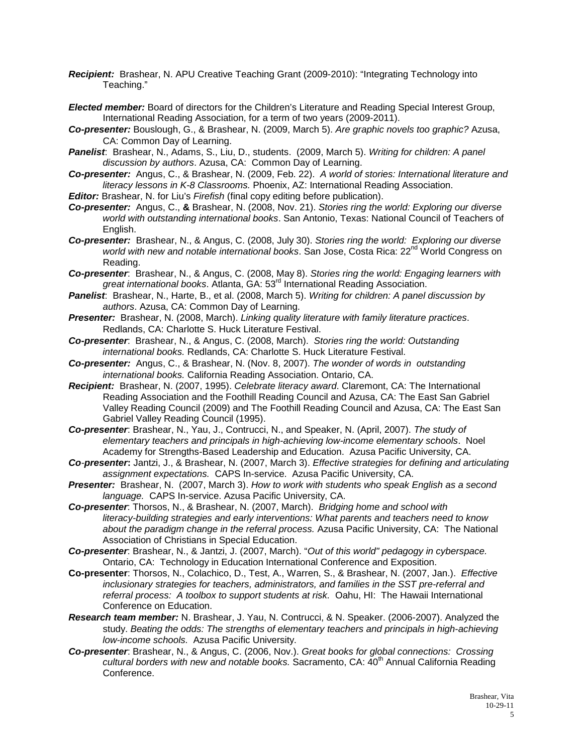- *Recipient:* Brashear, N. APU Creative Teaching Grant (2009-2010): "Integrating Technology into Teaching."
- *Elected member:* Board of directors for the Children's Literature and Reading Special Interest Group, International Reading Association, for a term of two years (2009-2011).
- *Co-presenter:* Bouslough, G., & Brashear, N. (2009, March 5). *Are graphic novels too graphic?* Azusa, CA: Common Day of Learning.
- *Panelist*:Brashear, N., Adams, S., Liu, D., students. (2009, March 5). *Writing for children: A panel discussion by authors*. Azusa, CA: Common Day of Learning.
- *Co-presenter:* Angus, C., & Brashear, N. (2009, Feb. 22). *A world of stories: International literature and literacy lessons in K-8 Classrooms.* Phoenix, AZ: International Reading Association.
- *Editor:* Brashear, N. for Liu's *Firefish* (final copy editing before publication).
- *Co-presenter:* Angus, C., **&** Brashear, N. (2008, Nov. 21). *Stories ring the world: Exploring our diverse world with outstanding international books*. San Antonio, Texas: National Council of Teachers of English.
- *Co-presenter:* Brashear, N., & Angus, C. (2008, July 30). *Stories ring the world: Exploring our diverse*  world with new and notable international books. San Jose, Costa Rica: 22<sup>nd</sup> World Congress on Reading.
- *Co-presenter*: Brashear, N., & Angus, C. (2008, May 8). *Stories ring the world: Engaging learners with great international books*. Atlanta, GA: 53rd International Reading Association.
- *Panelist*:Brashear, N., Harte, B., et al. (2008, March 5). *Writing for children: A panel discussion by authors*. Azusa, CA: Common Day of Learning.
- *Presenter:* Brashear, N. (2008, March). *Linking quality literature with family literature practices*. Redlands, CA: Charlotte S. Huck Literature Festival.
- *Co-presenter*: Brashear, N., & Angus, C. (2008, March). *Stories ring the world: Outstanding international books.* Redlands, CA: Charlotte S. Huck Literature Festival.
- *Co-presenter:* Angus, C., & Brashear, N. (Nov. 8, 2007). *The wonder of words in outstanding international books.* California Reading Association. Ontario, CA.
- *Recipient:* Brashear, N. (2007, 1995). *Celebrate literacy award*. Claremont, CA: The International Reading Association and the Foothill Reading Council and Azusa, CA: The East San Gabriel Valley Reading Council (2009) and The Foothill Reading Council and Azusa, CA: The East San Gabriel Valley Reading Council (1995).
- *Co-presenter*: Brashear, N., Yau, J., Contrucci, N., and Speaker, N. (April, 2007). *The study of elementary teachers and principals in high-achieving low-income elementary schools*. Noel Academy for Strengths-Based Leadership and Education. Azusa Pacific University, CA.
- *Co-presenter***:** Jantzi, J., & Brashear, N. (2007, March 3). *Effective strategies for defining and articulating assignment expectations.* CAPS In-service. Azusa Pacific University, CA.
- *Presenter:* Brashear, N. (2007, March 3). *How to work with students who speak English as a second language.* CAPS In-service. Azusa Pacific University, CA.
- *Co-presenter*: Thorsos, N., & Brashear, N. (2007, March). *Bridging home and school with literacy-building strategies and early interventions: What parents and teachers need to know about the paradigm change in the referral process.* Azusa Pacific University, CA: The National Association of Christians in Special Education.
- *Co-presenter*: Brashear, N., & Jantzi, J. (2007, March). "*Out of this world" pedagogy in cyberspace.*  Ontario, CA: Technology in Education International Conference and Exposition.
- **Co-presenter**: Thorsos, N., Colachico, D., Test, A., Warren, S., & Brashear, N. (2007, Jan.). *Effective inclusionary strategies for teachers, administrators, and families in the SST pre-referral and referral process: A toolbox to support students at risk.* Oahu, HI: The Hawaii International Conference on Education.
- *Research team member:* N. Brashear, J. Yau, N. Contrucci, & N. Speaker. (2006-2007). Analyzed the study. *Beating the odds: The strengths of elementary teachers and principals in high-achieving low-income schools.* Azusa Pacific University.
- *Co-presenter*: Brashear, N., & Angus, C. (2006, Nov.). *Great books for global connections: Crossing*  cultural borders with new and notable books. Sacramento, CA: 40<sup>th</sup> Annual California Reading Conference.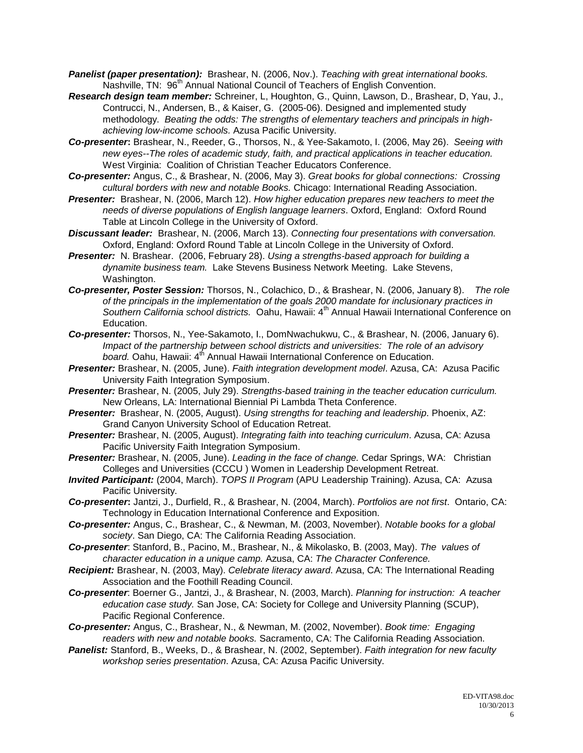- *Panelist (paper presentation):* Brashear, N. (2006, Nov.). *Teaching with great international books.* Nashville, TN: 96<sup>th</sup> Annual National Council of Teachers of English Convention.
- *Research design team member:* Schreiner, L, Houghton, G., Quinn, Lawson, D., Brashear, D, Yau, J., Contrucci, N., Andersen, B., & Kaiser, G. (2005-06). Designed and implemented study methodology. *Beating the odds: The strengths of elementary teachers and principals in highachieving low-income schools.* Azusa Pacific University.
- *Co-presenter***:** Brashear, N., Reeder, G., Thorsos, N., & Yee-Sakamoto, I. (2006, May 26). *Seeing with new eyes--The roles of academic study, faith, and practical applications in teacher education.* West Virginia: Coalition of Christian Teacher Educators Conference.
- *Co-presenter:* Angus, C., & Brashear, N. (2006, May 3). *Great books for global connections: Crossing cultural borders with new and notable Books.* Chicago: International Reading Association.
- *Presenter:* Brashear, N. (2006, March 12). *How higher education prepares new teachers to meet the needs of diverse populations of English language learners*. Oxford, England: Oxford Round Table at Lincoln College in the University of Oxford.
- *Discussant leader:* Brashear, N. (2006, March 13). *Connecting four presentations with conversation.* Oxford, England: Oxford Round Table at Lincoln College in the University of Oxford.
- *Presenter:* N. Brashear. (2006, February 28). *Using a strengths-based approach for building a dynamite business team.* Lake Stevens Business Network Meeting. Lake Stevens, Washington.
- *Co-presenter, Poster Session:* Thorsos, N., Colachico, D., & Brashear, N. (2006, January 8). *The role of the principals in the implementation of the goals 2000 mandate for inclusionary practices in Southern California school districts.* Oahu, Hawaii: 4th Annual Hawaii International Conference on Education.
- *Co-presenter:* Thorsos, N., Yee-Sakamoto, I., DomNwachukwu, C., & Brashear, N. (2006, January 6). *Impact of the partnership between school districts and universities: The role of an advisory*  board. Oahu, Hawaii: 4<sup>th</sup> Annual Hawaii International Conference on Education.
- *Presenter:* Brashear, N. (2005, June). *Faith integration development model*. Azusa, CA: Azusa Pacific University Faith Integration Symposium.
- *Presenter:* Brashear, N. (2005, July 29). *Strengths-based training in the teacher education curriculum.* New Orleans, LA: International Biennial Pi Lambda Theta Conference.
- *Presenter:* Brashear, N. (2005, August). *Using strengths for teaching and leadership*. Phoenix, AZ: Grand Canyon University School of Education Retreat.
- *Presenter:* Brashear, N. (2005, August). *Integrating faith into teaching curriculum*. Azusa, CA: Azusa Pacific University Faith Integration Symposium.
- *Presenter:* Brashear, N. (2005, June). *Leading in the face of change.* Cedar Springs, WA: Christian Colleges and Universities (CCCU ) Women in Leadership Development Retreat.
- *Invited Participant:* (2004, March). *TOPS II Program* (APU Leadership Training). Azusa, CA: Azusa Pacific University.
- *Co-presenter***:** Jantzi, J., Durfield, R., & Brashear, N. (2004, March). *Portfolios are not first*. Ontario, CA: Technology in Education International Conference and Exposition.
- *Co-presenter:* Angus, C., Brashear, C., & Newman, M. (2003, November). *Notable books for a global society*. San Diego, CA: The California Reading Association.
- *Co-presenter*: Stanford, B., Pacino, M., Brashear, N., & Mikolasko, B. (2003, May). *The values of character education in a unique camp.* Azusa, CA: *The Character Conference.*
- *Recipient:* Brashear, N. (2003, May). *Celebrate literacy award*. Azusa, CA: The International Reading Association and the Foothill Reading Council.
- *Co-presenter*: Boerner G., Jantzi, J., & Brashear, N. (2003, March). *Planning for instruction: A teacher education case study.* San Jose, CA: Society for College and University Planning (SCUP), Pacific Regional Conference.
- *Co-presenter:* Angus, C., Brashear, N., & Newman, M. (2002, November). *Book time: Engaging readers with new and notable books.* Sacramento, CA: The California Reading Association.
- *Panelist:* Stanford, B., Weeks, D., & Brashear, N. (2002, September). *Faith integration for new faculty workshop series presentation*. Azusa, CA: Azusa Pacific University.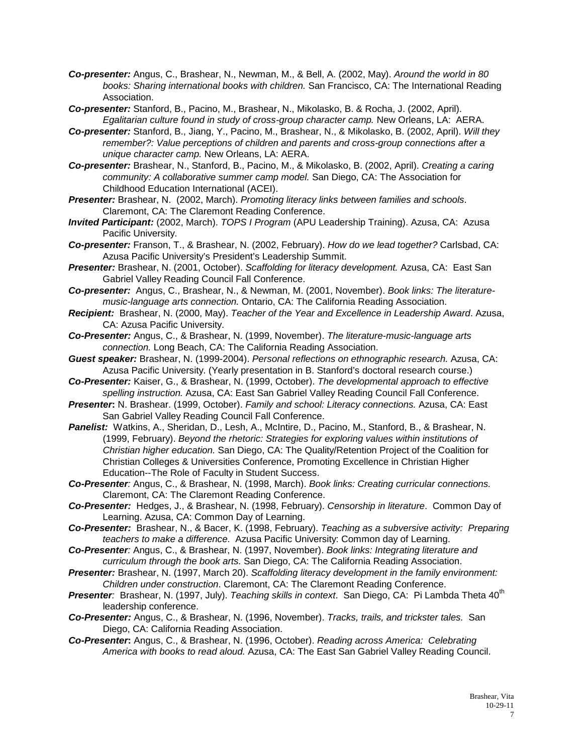- *Co-presenter:* Angus, C., Brashear, N., Newman, M., & Bell, A. (2002, May). *Around the world in 80 books: Sharing international books with children.* San Francisco, CA: The International Reading Association.
- *Co-presenter:* Stanford, B., Pacino, M., Brashear, N., Mikolasko, B. & Rocha, J. (2002, April). *Egalitarian culture found in study of cross-group character camp.* New Orleans, LA: AERA.
- *Co-presenter:* Stanford, B., Jiang, Y., Pacino, M., Brashear, N., & Mikolasko, B. (2002, April). *Will they remember?: Value perceptions of children and parents and cross-group connections after a unique character camp.* New Orleans, LA: AERA.
- *Co-presenter:* Brashear, N., Stanford, B., Pacino, M., & Mikolasko, B. (2002, April). *Creating a caring community: A collaborative summer camp model.* San Diego, CA: The Association for Childhood Education International (ACEI).
- *Presenter:* Brashear, N. (2002, March). *Promoting literacy links between families and schools*. Claremont, CA: The Claremont Reading Conference.
- *Invited Participant:* (2002, March). *TOPS I Program* (APU Leadership Training). Azusa, CA: Azusa Pacific University.
- *Co-presenter:* Franson, T., & Brashear, N. (2002, February). *How do we lead together?* Carlsbad, CA: Azusa Pacific University's President's Leadership Summit.
- *Presenter:* Brashear, N. (2001, October). *Scaffolding for literacy development.* Azusa, CA: East San Gabriel Valley Reading Council Fall Conference.
- *Co-presenter:* Angus, C., Brashear, N., & Newman, M. (2001, November). *Book links: The literaturemusic-language arts connection.* Ontario, CA: The California Reading Association.
- *Recipient:* Brashear, N. (2000, May). *Teacher of the Year and Excellence in Leadership Award*. Azusa, CA: Azusa Pacific University.
- *Co-Presenter:* Angus, C., & Brashear, N. (1999, November). *The literature-music-language arts connection.* Long Beach, CA: The California Reading Association.
- *Guest speaker:* Brashear, N. (1999-2004). *Personal reflections on ethnographic research.* Azusa, CA: Azusa Pacific University. (Yearly presentation in B. Stanford's doctoral research course.)
- *Co-Presenter:* Kaiser, G., & Brashear, N. (1999, October). *The developmental approach to effective spelling instruction.* Azusa, CA: East San Gabriel Valley Reading Council Fall Conference.
- *Presenter***:** N. Brashear. (1999, October). *Family and school: Literacy connections.* Azusa, CA: East San Gabriel Valley Reading Council Fall Conference.
- *Panelist:* Watkins, A., Sheridan, D., Lesh, A., McIntire, D., Pacino, M., Stanford, B., & Brashear, N. (1999, February). *Beyond the rhetoric: Strategies for exploring values within institutions of Christian higher education.* San Diego, CA: The Quality/Retention Project of the Coalition for Christian Colleges & Universities Conference, Promoting Excellence in Christian Higher Education--The Role of Faculty in Student Success.
- *Co-Presenter:* Angus, C., & Brashear, N. (1998, March). *Book links: Creating curricular connections.*  Claremont, CA: The Claremont Reading Conference.
- *Co-Presenter:* Hedges, J., & Brashear, N. (1998, February). *Censorship in literature*. Common Day of Learning. Azusa, CA: Common Day of Learning.
- *Co-Presenter:* Brashear, N., & Bacer, K. (1998, February). *Teaching as a subversive activity: Preparing teachers to make a difference*. Azusa Pacific University: Common day of Learning.
- *Co-Presenter:* Angus, C., & Brashear, N. (1997, November). *Book links: Integrating literature and curriculum through the book arts.* San Diego, CA: The California Reading Association.
- *Presenter:* Brashear, N. (1997, March 20). *Scaffolding literacy development in the family environment: Children under construction*. Claremont, CA: The Claremont Reading Conference.
- **Presenter**: Brashear, N. (1997, July). *Teaching skills in context*. San Diego, CA: Pi Lambda Theta 40<sup>th</sup> leadership conference.
- *Co-Presenter:* Angus, C., & Brashear, N. (1996, November). *Tracks, trails, and trickster tales.* San Diego, CA: California Reading Association.
- *Co-Presenter***:** Angus, C., & Brashear, N. (1996, October). *Reading across America: Celebrating America with books to read aloud.* Azusa, CA: The East San Gabriel Valley Reading Council.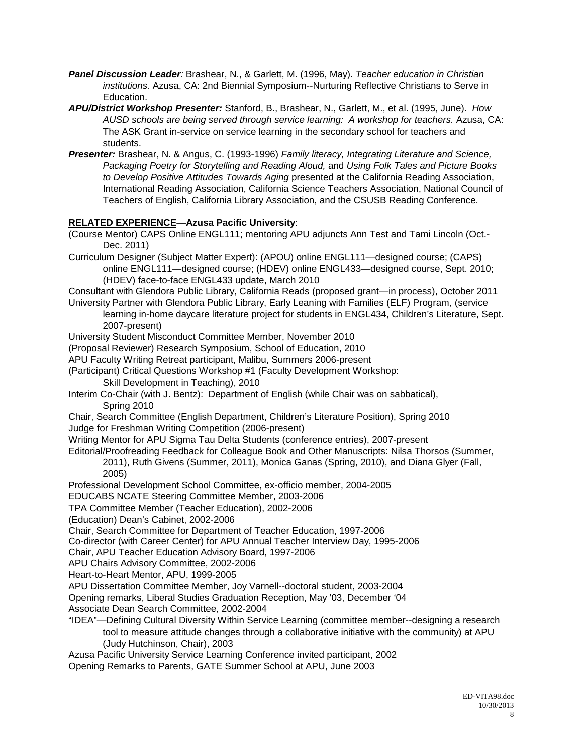- *Panel Discussion Leader:* Brashear, N., & Garlett, M. (1996, May). *Teacher education in Christian institutions.* Azusa, CA: 2nd Biennial Symposium--Nurturing Reflective Christians to Serve in Education.
- *APU/District Workshop Presenter:* Stanford, B., Brashear, N., Garlett, M., et al. (1995, June). *How AUSD schools are being served through service learning: A workshop for teachers.* Azusa, CA: The ASK Grant in-service on service learning in the secondary school for teachers and students.
- *Presenter:* Brashear, N. & Angus, C. (1993-1996) *Family literacy, Integrating Literature and Science, Packaging Poetry for Storytelling and Reading Aloud,* and *Using Folk Tales and Picture Books to Develop Positive Attitudes Towards Aging* presented at the California Reading Association, International Reading Association, California Science Teachers Association, National Council of Teachers of English, California Library Association, and the CSUSB Reading Conference.

#### **RELATED EXPERIENCE—Azusa Pacific University**:

- (Course Mentor) CAPS Online ENGL111; mentoring APU adjuncts Ann Test and Tami Lincoln (Oct.- Dec. 2011)
- Curriculum Designer (Subject Matter Expert): (APOU) online ENGL111—designed course; (CAPS) online ENGL111—designed course; (HDEV) online ENGL433—designed course, Sept. 2010; (HDEV) face-to-face ENGL433 update, March 2010

Consultant with Glendora Public Library, California Reads (proposed grant—in process), October 2011

University Partner with Glendora Public Library, Early Leaning with Families (ELF) Program, (service learning in-home daycare literature project for students in ENGL434, Children's Literature, Sept. 2007-present)

University Student Misconduct Committee Member, November 2010

(Proposal Reviewer) Research Symposium, School of Education, 2010

APU Faculty Writing Retreat participant, Malibu, Summers 2006-present

- (Participant) Critical Questions Workshop #1 (Faculty Development Workshop: Skill Development in Teaching), 2010
- Interim Co-Chair (with J. Bentz): Department of English (while Chair was on sabbatical), Spring 2010
- Chair, Search Committee (English Department, Children's Literature Position), Spring 2010 Judge for Freshman Writing Competition (2006-present)
- Writing Mentor for APU Sigma Tau Delta Students (conference entries), 2007-present

Editorial/Proofreading Feedback for Colleague Book and Other Manuscripts: Nilsa Thorsos (Summer,

2011), Ruth Givens (Summer, 2011), Monica Ganas (Spring, 2010), and Diana Glyer (Fall, 2005)

Professional Development School Committee, ex-officio member, 2004-2005

EDUCABS NCATE Steering Committee Member, 2003-2006

TPA Committee Member (Teacher Education), 2002-2006

(Education) Dean's Cabinet, 2002-2006

Chair, Search Committee for Department of Teacher Education, 1997-2006

Co-director (with Career Center) for APU Annual Teacher Interview Day, 1995-2006

Chair, APU Teacher Education Advisory Board, 1997-2006

APU Chairs Advisory Committee, 2002-2006

Heart-to-Heart Mentor, APU, 1999-2005

APU Dissertation Committee Member, Joy Varnell--doctoral student, 2003-2004

Opening remarks, Liberal Studies Graduation Reception, May '03, December '04

Associate Dean Search Committee, 2002-2004

"IDEA"—Defining Cultural Diversity Within Service Learning (committee member--designing a research tool to measure attitude changes through a collaborative initiative with the community) at APU (Judy Hutchinson, Chair), 2003

Azusa Pacific University Service Learning Conference invited participant, 2002

Opening Remarks to Parents, GATE Summer School at APU, June 2003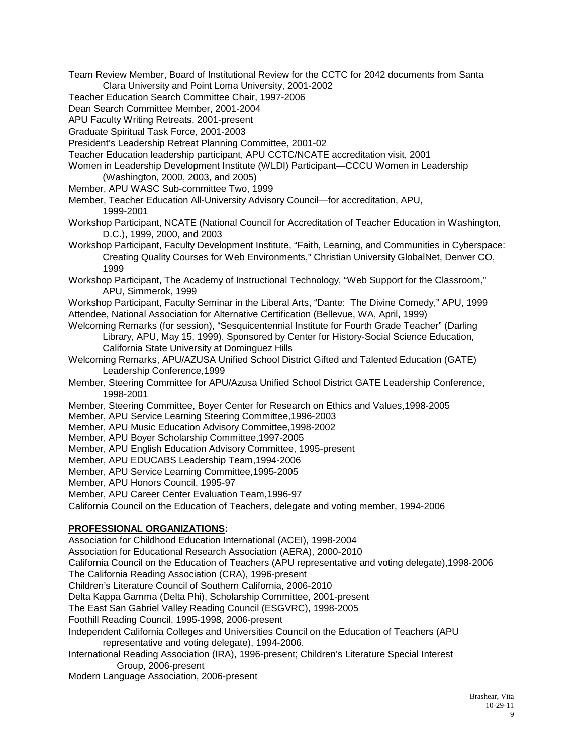Team Review Member, Board of Institutional Review for the CCTC for 2042 documents from Santa Clara University and Point Loma University, 2001-2002

Teacher Education Search Committee Chair, 1997-2006

Dean Search Committee Member, 2001-2004

APU Faculty Writing Retreats, 2001-present

Graduate Spiritual Task Force, 2001-2003

President's Leadership Retreat Planning Committee, 2001-02

Teacher Education leadership participant, APU CCTC/NCATE accreditation visit, 2001

Women in Leadership Development Institute (WLDI) Participant—CCCU Women in Leadership (Washington, 2000, 2003, and 2005)

Member, APU WASC Sub-committee Two, 1999

Member, Teacher Education All-University Advisory Council—for accreditation, APU, 1999-2001

Workshop Participant, NCATE (National Council for Accreditation of Teacher Education in Washington, D.C.), 1999, 2000, and 2003

Workshop Participant, Faculty Development Institute, "Faith, Learning, and Communities in Cyberspace: Creating Quality Courses for Web Environments," Christian University GlobalNet, Denver CO, 1999

Workshop Participant, The Academy of Instructional Technology, "Web Support for the Classroom," APU, Simmerok, 1999

Workshop Participant, Faculty Seminar in the Liberal Arts, "Dante: The Divine Comedy," APU, 1999 Attendee, National Association for Alternative Certification (Bellevue, WA, April, 1999)

Welcoming Remarks (for session), "Sesquicentennial Institute for Fourth Grade Teacher" (Darling Library, APU, May 15, 1999). Sponsored by Center for History-Social Science Education, California State University at Dominguez Hills

Welcoming Remarks, APU/AZUSA Unified School District Gifted and Talented Education (GATE) Leadership Conference,1999

Member, Steering Committee for APU/Azusa Unified School District GATE Leadership Conference, 1998-2001

Member, Steering Committee, Boyer Center for Research on Ethics and Values,1998-2005

Member, APU Service Learning Steering Committee,1996-2003

Member, APU Music Education Advisory Committee,1998-2002

Member, APU Boyer Scholarship Committee,1997-2005

Member, APU English Education Advisory Committee, 1995-present

Member, APU EDUCABS Leadership Team,1994-2006

Member, APU Service Learning Committee,1995-2005

Member, APU Honors Council, 1995-97

Member, APU Career Center Evaluation Team,1996-97

California Council on the Education of Teachers, delegate and voting member, 1994-2006

#### **PROFESSIONAL ORGANIZATIONS:**

Association for Childhood Education International (ACEI), 1998-2004

Association for Educational Research Association (AERA), 2000-2010

California Council on the Education of Teachers (APU representative and voting delegate),1998-2006

The California Reading Association (CRA), 1996-present

Children's Literature Council of Southern California, 2006-2010

Delta Kappa Gamma (Delta Phi), Scholarship Committee, 2001-present

The East San Gabriel Valley Reading Council (ESGVRC), 1998-2005

Foothill Reading Council, 1995-1998, 2006-present

Independent California Colleges and Universities Council on the Education of Teachers (APU representative and voting delegate), 1994-2006.

International Reading Association (IRA), 1996-present; Children's Literature Special Interest Group, 2006-present

Modern Language Association, 2006-present